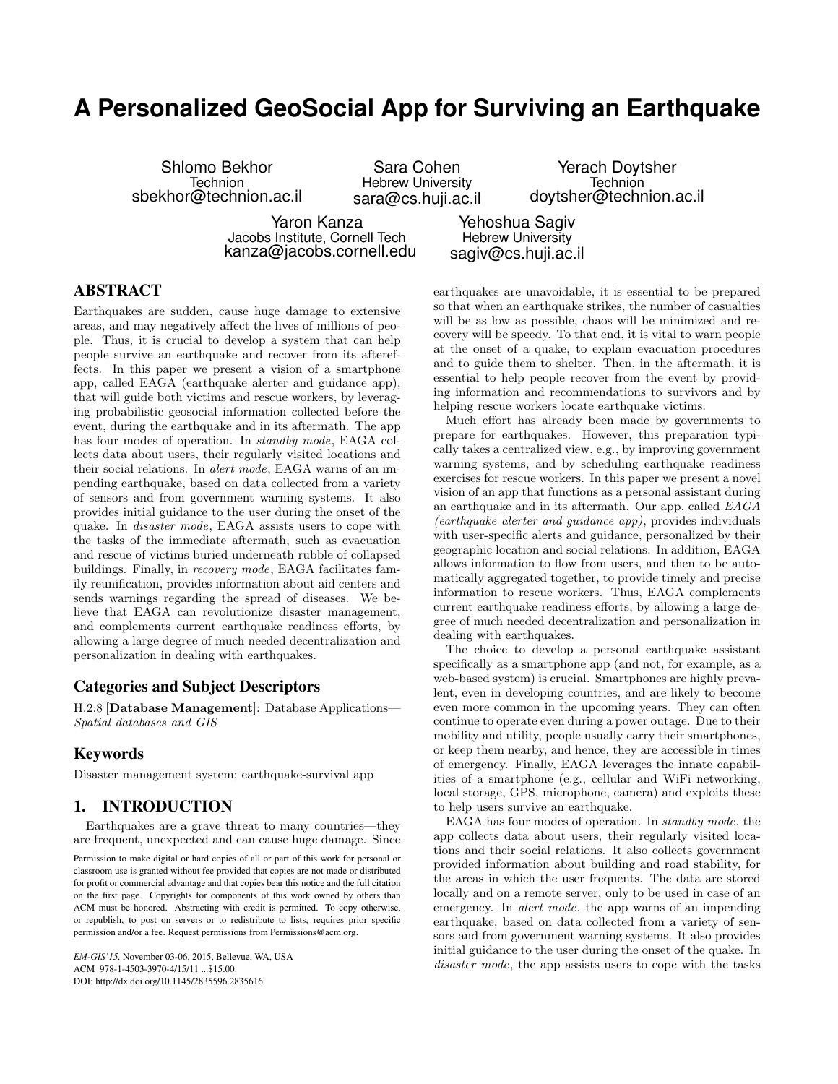# **A Personalized GeoSocial App for Surviving an Earthquake**

Shlomo Bekhor Technion sbekhor@technion.ac.il

Sara Cohen Hebrew University sara@cs.huji.ac.il

Yerach Doytsher Technion doytsher@technion.ac.il

Yaron Kanza Jacobs Institute, Cornell Tech kanza@jacobs.cornell.edu

Yehoshua Sagiv Hebrew University sagiv@cs.huji.ac.il

## ABSTRACT

Earthquakes are sudden, cause huge damage to extensive areas, and may negatively affect the lives of millions of people. Thus, it is crucial to develop a system that can help people survive an earthquake and recover from its aftereffects. In this paper we present a vision of a smartphone app, called EAGA (earthquake alerter and guidance app), that will guide both victims and rescue workers, by leveraging probabilistic geosocial information collected before the event, during the earthquake and in its aftermath. The app has four modes of operation. In *standby mode*, EAGA collects data about users, their regularly visited locations and their social relations. In alert mode, EAGA warns of an impending earthquake, based on data collected from a variety of sensors and from government warning systems. It also provides initial guidance to the user during the onset of the quake. In *disaster mode*, EAGA assists users to cope with the tasks of the immediate aftermath, such as evacuation and rescue of victims buried underneath rubble of collapsed buildings. Finally, in recovery mode, EAGA facilitates family reunification, provides information about aid centers and sends warnings regarding the spread of diseases. We believe that EAGA can revolutionize disaster management, and complements current earthquake readiness efforts, by allowing a large degree of much needed decentralization and personalization in dealing with earthquakes.

## Categories and Subject Descriptors

H.2.8 [Database Management]: Database Applications— Spatial databases and GIS

#### Keywords

Disaster management system; earthquake-survival app

## 1. INTRODUCTION

Earthquakes are a grave threat to many countries—they are frequent, unexpected and can cause huge damage. Since

Permission to make digital or hard copies of all or part of this work for personal or classroom use is granted without fee provided that copies are not made or distributed for profit or commercial advantage and that copies bear this notice and the full citation on the first page. Copyrights for components of this work owned by others than ACM must be honored. Abstracting with credit is permitted. To copy otherwise, or republish, to post on servers or to redistribute to lists, requires prior specific permission and/or a fee. Request permissions from Permissions@acm.org.

*EM-GIS'15,* November 03-06, 2015, Bellevue, WA, USA ACM 978-1-4503-3970-4/15/11 ...\$15.00. DOI: http://dx.doi.org/10.1145/2835596.2835616.

earthquakes are unavoidable, it is essential to be prepared so that when an earthquake strikes, the number of casualties will be as low as possible, chaos will be minimized and recovery will be speedy. To that end, it is vital to warn people at the onset of a quake, to explain evacuation procedures and to guide them to shelter. Then, in the aftermath, it is essential to help people recover from the event by providing information and recommendations to survivors and by helping rescue workers locate earthquake victims.

Much effort has already been made by governments to prepare for earthquakes. However, this preparation typically takes a centralized view, e.g., by improving government warning systems, and by scheduling earthquake readiness exercises for rescue workers. In this paper we present a novel vision of an app that functions as a personal assistant during an earthquake and in its aftermath. Our app, called EAGA (earthquake alerter and guidance app), provides individuals with user-specific alerts and guidance, personalized by their geographic location and social relations. In addition, EAGA allows information to flow from users, and then to be automatically aggregated together, to provide timely and precise information to rescue workers. Thus, EAGA complements current earthquake readiness efforts, by allowing a large degree of much needed decentralization and personalization in dealing with earthquakes.

The choice to develop a personal earthquake assistant specifically as a smartphone app (and not, for example, as a web-based system) is crucial. Smartphones are highly prevalent, even in developing countries, and are likely to become even more common in the upcoming years. They can often continue to operate even during a power outage. Due to their mobility and utility, people usually carry their smartphones, or keep them nearby, and hence, they are accessible in times of emergency. Finally, EAGA leverages the innate capabilities of a smartphone (e.g., cellular and WiFi networking, local storage, GPS, microphone, camera) and exploits these to help users survive an earthquake.

EAGA has four modes of operation. In standby mode, the app collects data about users, their regularly visited locations and their social relations. It also collects government provided information about building and road stability, for the areas in which the user frequents. The data are stored locally and on a remote server, only to be used in case of an emergency. In *alert mode*, the app warns of an impending earthquake, based on data collected from a variety of sensors and from government warning systems. It also provides initial guidance to the user during the onset of the quake. In disaster mode, the app assists users to cope with the tasks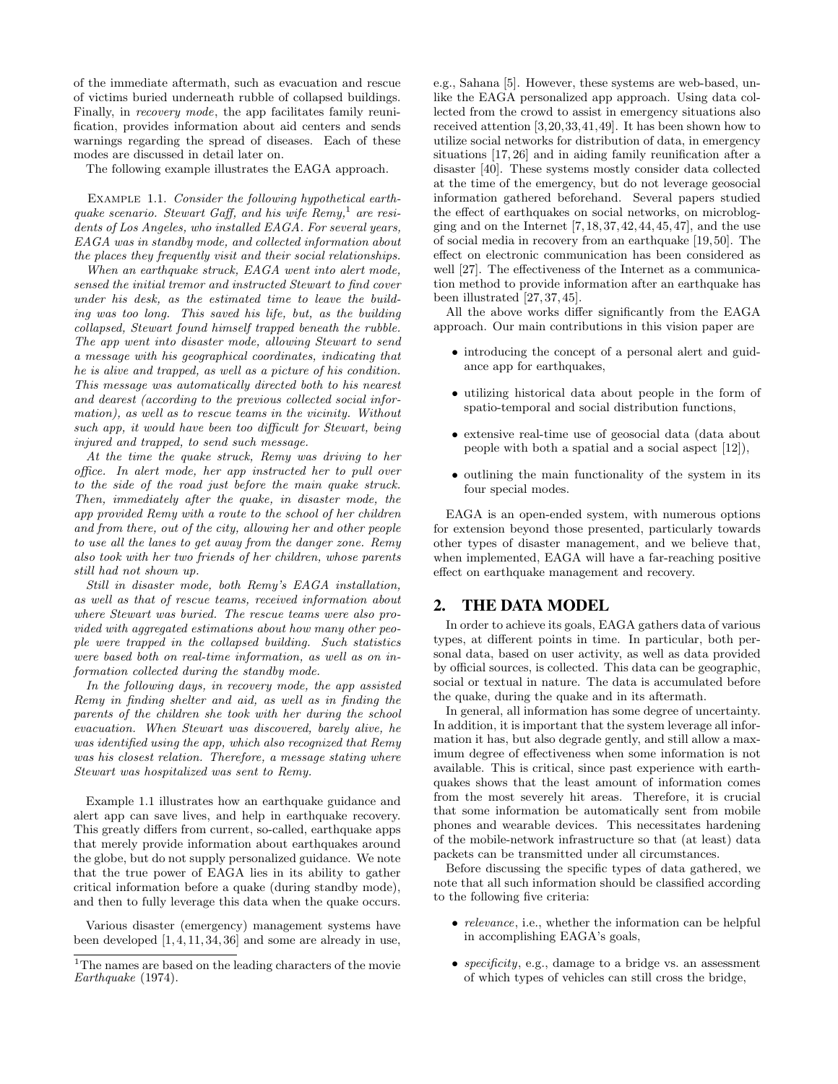of the immediate aftermath, such as evacuation and rescue of victims buried underneath rubble of collapsed buildings. Finally, in *recovery mode*, the app facilitates family reunification, provides information about aid centers and sends warnings regarding the spread of diseases. Each of these modes are discussed in detail later on.

The following example illustrates the EAGA approach.

EXAMPLE 1.1. Consider the following hypothetical earthquake scenario. Stewart Gaff, and his wife  $Remy$ ,<sup>1</sup> are residents of Los Angeles, who installed EAGA. For several years, EAGA was in standby mode, and collected information about the places they frequently visit and their social relationships.

When an earthquake struck, EAGA went into alert mode, sensed the initial tremor and instructed Stewart to find cover under his desk, as the estimated time to leave the building was too long. This saved his life, but, as the building collapsed, Stewart found himself trapped beneath the rubble. The app went into disaster mode, allowing Stewart to send a message with his geographical coordinates, indicating that he is alive and trapped, as well as a picture of his condition. This message was automatically directed both to his nearest and dearest (according to the previous collected social information), as well as to rescue teams in the vicinity. Without such app, it would have been too difficult for Stewart, being injured and trapped, to send such message.

At the time the quake struck, Remy was driving to her office. In alert mode, her app instructed her to pull over to the side of the road just before the main quake struck. Then, immediately after the quake, in disaster mode, the app provided Remy with a route to the school of her children and from there, out of the city, allowing her and other people to use all the lanes to get away from the danger zone. Remy also took with her two friends of her children, whose parents still had not shown up.

Still in disaster mode, both Remy's EAGA installation, as well as that of rescue teams, received information about where Stewart was buried. The rescue teams were also provided with aggregated estimations about how many other people were trapped in the collapsed building. Such statistics were based both on real-time information, as well as on information collected during the standby mode.

In the following days, in recovery mode, the app assisted Remy in finding shelter and aid, as well as in finding the parents of the children she took with her during the school evacuation. When Stewart was discovered, barely alive, he was identified using the app, which also recognized that Remy was his closest relation. Therefore, a message stating where Stewart was hospitalized was sent to Remy.

Example 1.1 illustrates how an earthquake guidance and alert app can save lives, and help in earthquake recovery. This greatly differs from current, so-called, earthquake apps that merely provide information about earthquakes around the globe, but do not supply personalized guidance. We note that the true power of EAGA lies in its ability to gather critical information before a quake (during standby mode), and then to fully leverage this data when the quake occurs.

Various disaster (emergency) management systems have been developed [1, 4, 11, 34, 36] and some are already in use, e.g., Sahana [5]. However, these systems are web-based, unlike the EAGA personalized app approach. Using data collected from the crowd to assist in emergency situations also received attention [3,20,33,41,49]. It has been shown how to utilize social networks for distribution of data, in emergency situations [17, 26] and in aiding family reunification after a disaster [40]. These systems mostly consider data collected at the time of the emergency, but do not leverage geosocial information gathered beforehand. Several papers studied the effect of earthquakes on social networks, on microblogging and on the Internet  $[7, 18, 37, 42, 44, 45, 47]$ , and the use of social media in recovery from an earthquake [19, 50]. The effect on electronic communication has been considered as well [27]. The effectiveness of the Internet as a communication method to provide information after an earthquake has been illustrated [27, 37, 45].

All the above works differ significantly from the EAGA approach. Our main contributions in this vision paper are

- introducing the concept of a personal alert and guidance app for earthquakes,
- utilizing historical data about people in the form of spatio-temporal and social distribution functions,
- extensive real-time use of geosocial data (data about people with both a spatial and a social aspect [12]),
- outlining the main functionality of the system in its four special modes.

EAGA is an open-ended system, with numerous options for extension beyond those presented, particularly towards other types of disaster management, and we believe that, when implemented, EAGA will have a far-reaching positive effect on earthquake management and recovery.

#### 2. THE DATA MODEL

In order to achieve its goals, EAGA gathers data of various types, at different points in time. In particular, both personal data, based on user activity, as well as data provided by official sources, is collected. This data can be geographic, social or textual in nature. The data is accumulated before the quake, during the quake and in its aftermath.

In general, all information has some degree of uncertainty. In addition, it is important that the system leverage all information it has, but also degrade gently, and still allow a maximum degree of effectiveness when some information is not available. This is critical, since past experience with earthquakes shows that the least amount of information comes from the most severely hit areas. Therefore, it is crucial that some information be automatically sent from mobile phones and wearable devices. This necessitates hardening of the mobile-network infrastructure so that (at least) data packets can be transmitted under all circumstances.

Before discussing the specific types of data gathered, we note that all such information should be classified according to the following five criteria:

- *relevance*, i.e., whether the information can be helpful in accomplishing EAGA's goals,
- *specificity*, e.g., damage to a bridge vs. an assessment of which types of vehicles can still cross the bridge,

<sup>&</sup>lt;sup>1</sup>The names are based on the leading characters of the movie Earthquake (1974).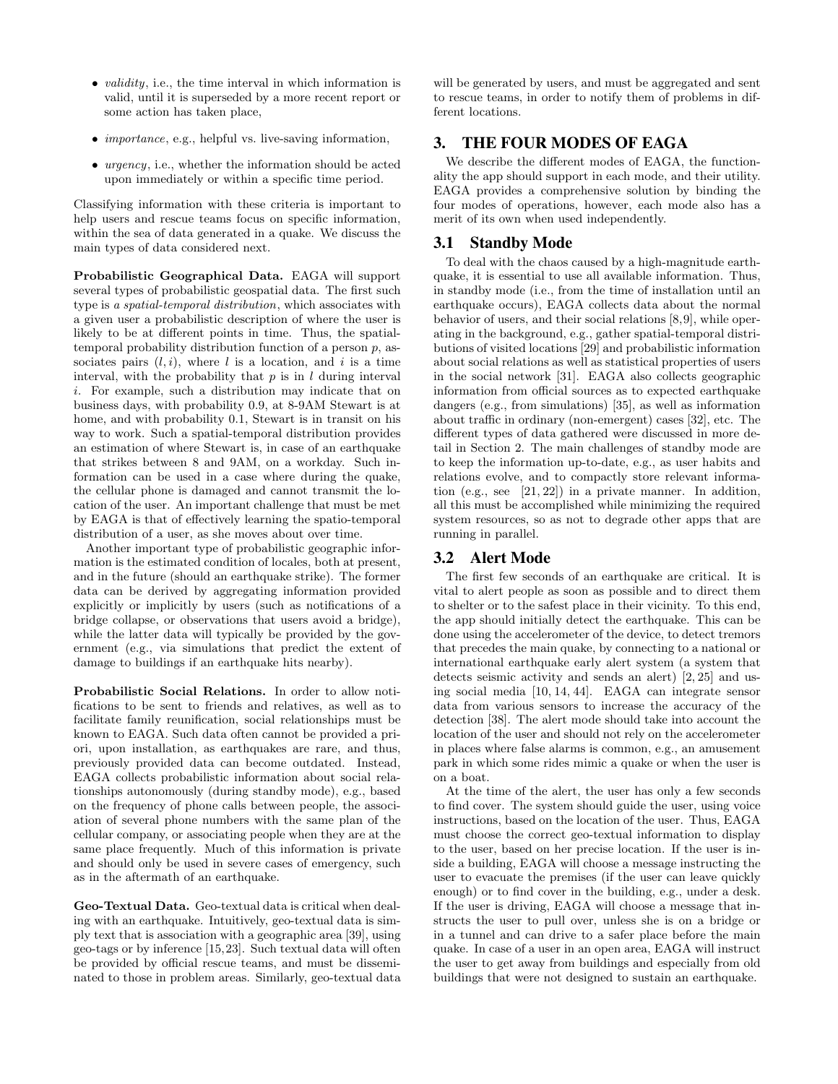- $\bullet$  validity, i.e., the time interval in which information is valid, until it is superseded by a more recent report or some action has taken place,
- *importance*, e.g., helpful vs. live-saving information,
- urgency, i.e., whether the information should be acted upon immediately or within a specific time period.

Classifying information with these criteria is important to help users and rescue teams focus on specific information, within the sea of data generated in a quake. We discuss the main types of data considered next.

Probabilistic Geographical Data. EAGA will support several types of probabilistic geospatial data. The first such type is a spatial-temporal distribution, which associates with a given user a probabilistic description of where the user is likely to be at different points in time. Thus, the spatialtemporal probability distribution function of a person  $p$ , associates pairs  $(l, i)$ , where l is a location, and i is a time interval, with the probability that  $p$  is in  $l$  during interval i. For example, such a distribution may indicate that on business days, with probability 0.9, at 8-9AM Stewart is at home, and with probability 0.1, Stewart is in transit on his way to work. Such a spatial-temporal distribution provides an estimation of where Stewart is, in case of an earthquake that strikes between 8 and 9AM, on a workday. Such information can be used in a case where during the quake, the cellular phone is damaged and cannot transmit the location of the user. An important challenge that must be met by EAGA is that of effectively learning the spatio-temporal distribution of a user, as she moves about over time.

Another important type of probabilistic geographic information is the estimated condition of locales, both at present, and in the future (should an earthquake strike). The former data can be derived by aggregating information provided explicitly or implicitly by users (such as notifications of a bridge collapse, or observations that users avoid a bridge), while the latter data will typically be provided by the government (e.g., via simulations that predict the extent of damage to buildings if an earthquake hits nearby).

Probabilistic Social Relations. In order to allow notifications to be sent to friends and relatives, as well as to facilitate family reunification, social relationships must be known to EAGA. Such data often cannot be provided a priori, upon installation, as earthquakes are rare, and thus, previously provided data can become outdated. Instead, EAGA collects probabilistic information about social relationships autonomously (during standby mode), e.g., based on the frequency of phone calls between people, the association of several phone numbers with the same plan of the cellular company, or associating people when they are at the same place frequently. Much of this information is private and should only be used in severe cases of emergency, such as in the aftermath of an earthquake.

Geo-Textual Data. Geo-textual data is critical when dealing with an earthquake. Intuitively, geo-textual data is simply text that is association with a geographic area [39], using geo-tags or by inference [15,23]. Such textual data will often be provided by official rescue teams, and must be disseminated to those in problem areas. Similarly, geo-textual data will be generated by users, and must be aggregated and sent to rescue teams, in order to notify them of problems in different locations.

# 3. THE FOUR MODES OF EAGA

We describe the different modes of EAGA, the functionality the app should support in each mode, and their utility. EAGA provides a comprehensive solution by binding the four modes of operations, however, each mode also has a merit of its own when used independently.

## 3.1 Standby Mode

To deal with the chaos caused by a high-magnitude earthquake, it is essential to use all available information. Thus, in standby mode (i.e., from the time of installation until an earthquake occurs), EAGA collects data about the normal behavior of users, and their social relations [8,9], while operating in the background, e.g., gather spatial-temporal distributions of visited locations [29] and probabilistic information about social relations as well as statistical properties of users in the social network [31]. EAGA also collects geographic information from official sources as to expected earthquake dangers (e.g., from simulations) [35], as well as information about traffic in ordinary (non-emergent) cases [32], etc. The different types of data gathered were discussed in more detail in Section 2. The main challenges of standby mode are to keep the information up-to-date, e.g., as user habits and relations evolve, and to compactly store relevant information (e.g., see [21, 22]) in a private manner. In addition, all this must be accomplished while minimizing the required system resources, so as not to degrade other apps that are running in parallel.

# 3.2 Alert Mode

The first few seconds of an earthquake are critical. It is vital to alert people as soon as possible and to direct them to shelter or to the safest place in their vicinity. To this end, the app should initially detect the earthquake. This can be done using the accelerometer of the device, to detect tremors that precedes the main quake, by connecting to a national or international earthquake early alert system (a system that detects seismic activity and sends an alert) [2, 25] and using social media [10, 14, 44]. EAGA can integrate sensor data from various sensors to increase the accuracy of the detection [38]. The alert mode should take into account the location of the user and should not rely on the accelerometer in places where false alarms is common, e.g., an amusement park in which some rides mimic a quake or when the user is on a boat.

At the time of the alert, the user has only a few seconds to find cover. The system should guide the user, using voice instructions, based on the location of the user. Thus, EAGA must choose the correct geo-textual information to display to the user, based on her precise location. If the user is inside a building, EAGA will choose a message instructing the user to evacuate the premises (if the user can leave quickly enough) or to find cover in the building, e.g., under a desk. If the user is driving, EAGA will choose a message that instructs the user to pull over, unless she is on a bridge or in a tunnel and can drive to a safer place before the main quake. In case of a user in an open area, EAGA will instruct the user to get away from buildings and especially from old buildings that were not designed to sustain an earthquake.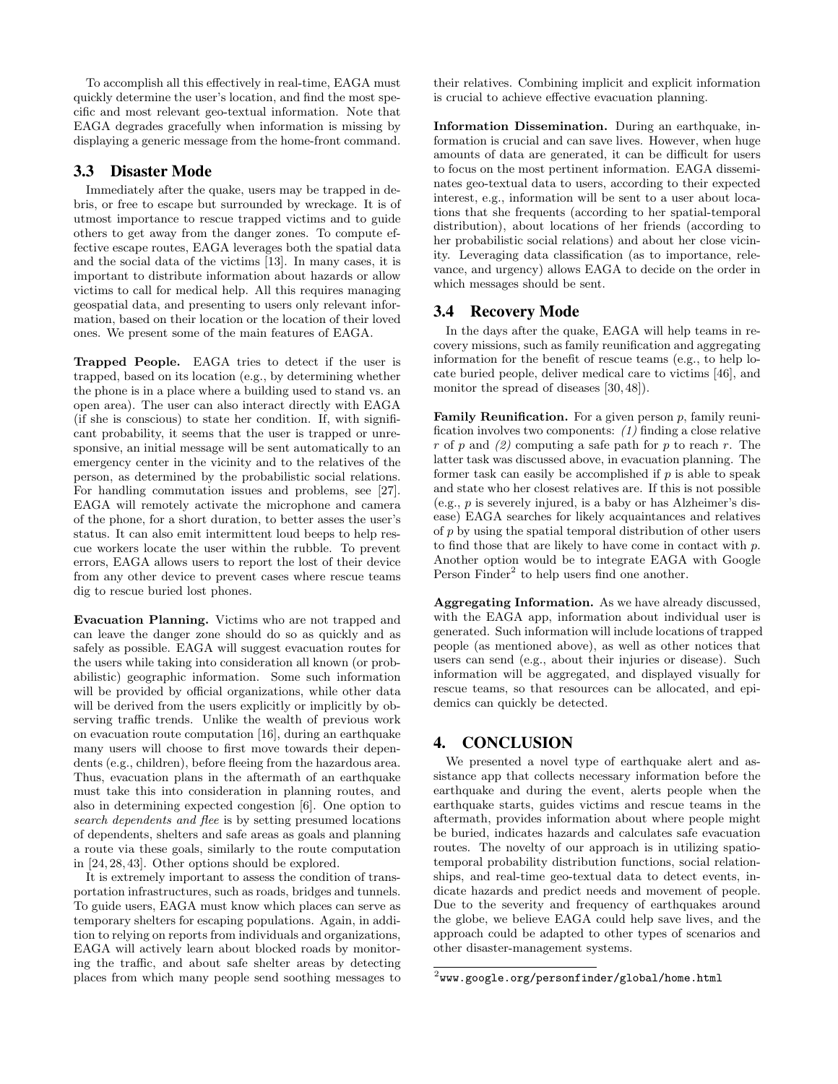To accomplish all this effectively in real-time, EAGA must quickly determine the user's location, and find the most specific and most relevant geo-textual information. Note that EAGA degrades gracefully when information is missing by displaying a generic message from the home-front command.

## 3.3 Disaster Mode

Immediately after the quake, users may be trapped in debris, or free to escape but surrounded by wreckage. It is of utmost importance to rescue trapped victims and to guide others to get away from the danger zones. To compute effective escape routes, EAGA leverages both the spatial data and the social data of the victims [13]. In many cases, it is important to distribute information about hazards or allow victims to call for medical help. All this requires managing geospatial data, and presenting to users only relevant information, based on their location or the location of their loved ones. We present some of the main features of EAGA.

Trapped People. EAGA tries to detect if the user is trapped, based on its location (e.g., by determining whether the phone is in a place where a building used to stand vs. an open area). The user can also interact directly with EAGA (if she is conscious) to state her condition. If, with significant probability, it seems that the user is trapped or unresponsive, an initial message will be sent automatically to an emergency center in the vicinity and to the relatives of the person, as determined by the probabilistic social relations. For handling commutation issues and problems, see [27]. EAGA will remotely activate the microphone and camera of the phone, for a short duration, to better asses the user's status. It can also emit intermittent loud beeps to help rescue workers locate the user within the rubble. To prevent errors, EAGA allows users to report the lost of their device from any other device to prevent cases where rescue teams dig to rescue buried lost phones.

Evacuation Planning. Victims who are not trapped and can leave the danger zone should do so as quickly and as safely as possible. EAGA will suggest evacuation routes for the users while taking into consideration all known (or probabilistic) geographic information. Some such information will be provided by official organizations, while other data will be derived from the users explicitly or implicitly by observing traffic trends. Unlike the wealth of previous work on evacuation route computation [16], during an earthquake many users will choose to first move towards their dependents (e.g., children), before fleeing from the hazardous area. Thus, evacuation plans in the aftermath of an earthquake must take this into consideration in planning routes, and also in determining expected congestion [6]. One option to search dependents and flee is by setting presumed locations of dependents, shelters and safe areas as goals and planning a route via these goals, similarly to the route computation in [24, 28, 43]. Other options should be explored.

It is extremely important to assess the condition of transportation infrastructures, such as roads, bridges and tunnels. To guide users, EAGA must know which places can serve as temporary shelters for escaping populations. Again, in addition to relying on reports from individuals and organizations, EAGA will actively learn about blocked roads by monitoring the traffic, and about safe shelter areas by detecting places from which many people send soothing messages to their relatives. Combining implicit and explicit information is crucial to achieve effective evacuation planning.

Information Dissemination. During an earthquake, information is crucial and can save lives. However, when huge amounts of data are generated, it can be difficult for users to focus on the most pertinent information. EAGA disseminates geo-textual data to users, according to their expected interest, e.g., information will be sent to a user about locations that she frequents (according to her spatial-temporal distribution), about locations of her friends (according to her probabilistic social relations) and about her close vicinity. Leveraging data classification (as to importance, relevance, and urgency) allows EAGA to decide on the order in which messages should be sent.

#### 3.4 Recovery Mode

In the days after the quake, EAGA will help teams in recovery missions, such as family reunification and aggregating information for the benefit of rescue teams (e.g., to help locate buried people, deliver medical care to victims [46], and monitor the spread of diseases [30, 48]).

**Family Reunification.** For a given person  $p$ , family reunification involves two components: (1) finding a close relative r of p and  $(2)$  computing a safe path for p to reach r. The latter task was discussed above, in evacuation planning. The former task can easily be accomplished if  $p$  is able to speak and state who her closest relatives are. If this is not possible (e.g., p is severely injured, is a baby or has Alzheimer's disease) EAGA searches for likely acquaintances and relatives of p by using the spatial temporal distribution of other users to find those that are likely to have come in contact with p. Another option would be to integrate EAGA with Google Person Finder<sup>2</sup> to help users find one another.

Aggregating Information. As we have already discussed, with the EAGA app, information about individual user is generated. Such information will include locations of trapped people (as mentioned above), as well as other notices that users can send (e.g., about their injuries or disease). Such information will be aggregated, and displayed visually for rescue teams, so that resources can be allocated, and epidemics can quickly be detected.

## 4. CONCLUSION

We presented a novel type of earthquake alert and assistance app that collects necessary information before the earthquake and during the event, alerts people when the earthquake starts, guides victims and rescue teams in the aftermath, provides information about where people might be buried, indicates hazards and calculates safe evacuation routes. The novelty of our approach is in utilizing spatiotemporal probability distribution functions, social relationships, and real-time geo-textual data to detect events, indicate hazards and predict needs and movement of people. Due to the severity and frequency of earthquakes around the globe, we believe EAGA could help save lives, and the approach could be adapted to other types of scenarios and other disaster-management systems.

 $^2$ www.google.org/personfinder/global/home.html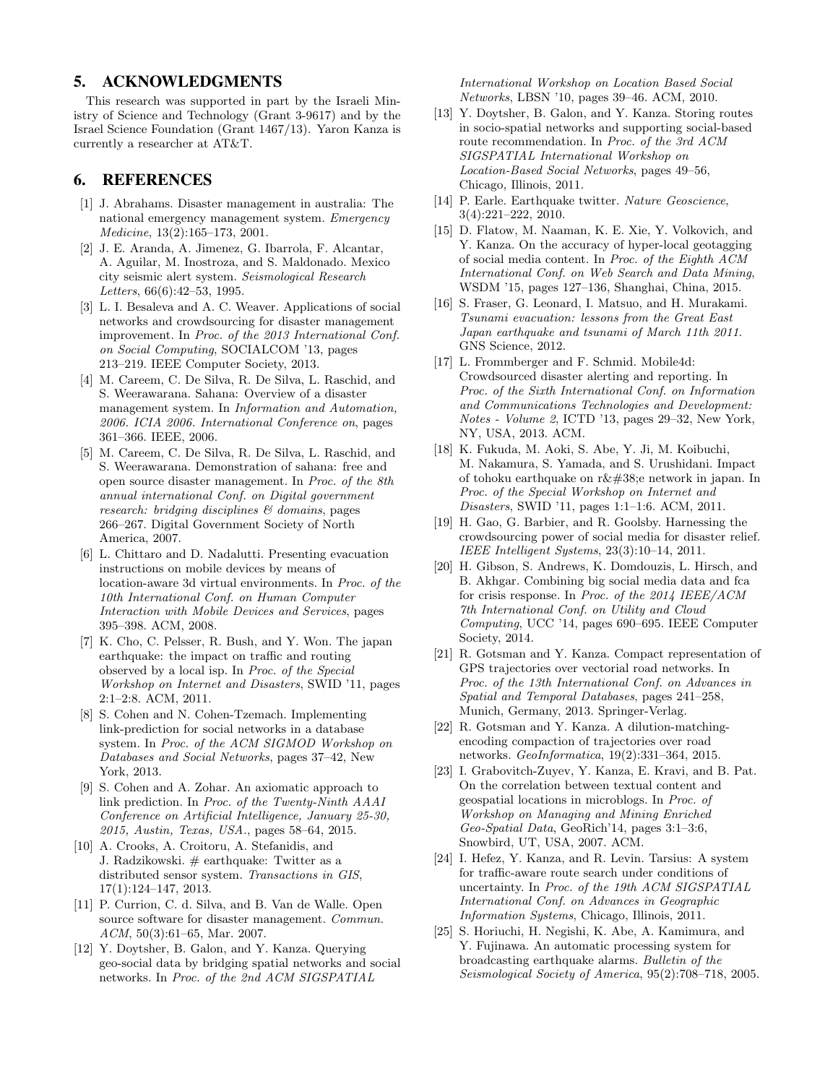## 5. ACKNOWLEDGMENTS

This research was supported in part by the Israeli Ministry of Science and Technology (Grant 3-9617) and by the Israel Science Foundation (Grant 1467/13). Yaron Kanza is currently a researcher at AT&T.

# 6. REFERENCES

- [1] J. Abrahams. Disaster management in australia: The national emergency management system. Emergency Medicine, 13(2):165–173, 2001.
- [2] J. E. Aranda, A. Jimenez, G. Ibarrola, F. Alcantar, A. Aguilar, M. Inostroza, and S. Maldonado. Mexico city seismic alert system. Seismological Research Letters, 66(6):42–53, 1995.
- [3] L. I. Besaleva and A. C. Weaver. Applications of social networks and crowdsourcing for disaster management improvement. In Proc. of the 2013 International Conf. on Social Computing, SOCIALCOM '13, pages 213–219. IEEE Computer Society, 2013.
- [4] M. Careem, C. De Silva, R. De Silva, L. Raschid, and S. Weerawarana. Sahana: Overview of a disaster management system. In Information and Automation, 2006. ICIA 2006. International Conference on, pages 361–366. IEEE, 2006.
- [5] M. Careem, C. De Silva, R. De Silva, L. Raschid, and S. Weerawarana. Demonstration of sahana: free and open source disaster management. In Proc. of the 8th annual international Conf. on Digital government research: bridging disciplines & domains, pages 266–267. Digital Government Society of North America, 2007.
- [6] L. Chittaro and D. Nadalutti. Presenting evacuation instructions on mobile devices by means of location-aware 3d virtual environments. In Proc. of the 10th International Conf. on Human Computer Interaction with Mobile Devices and Services, pages 395–398. ACM, 2008.
- [7] K. Cho, C. Pelsser, R. Bush, and Y. Won. The japan earthquake: the impact on traffic and routing observed by a local isp. In Proc. of the Special Workshop on Internet and Disasters, SWID '11, pages 2:1–2:8. ACM, 2011.
- [8] S. Cohen and N. Cohen-Tzemach. Implementing link-prediction for social networks in a database system. In Proc. of the ACM SIGMOD Workshop on Databases and Social Networks, pages 37–42, New York, 2013.
- [9] S. Cohen and A. Zohar. An axiomatic approach to link prediction. In Proc. of the Twenty-Ninth AAAI Conference on Artificial Intelligence, January 25-30, 2015, Austin, Texas, USA., pages 58–64, 2015.
- [10] A. Crooks, A. Croitoru, A. Stefanidis, and J. Radzikowski. # earthquake: Twitter as a distributed sensor system. Transactions in GIS, 17(1):124–147, 2013.
- [11] P. Currion, C. d. Silva, and B. Van de Walle. Open source software for disaster management. Commun. ACM, 50(3):61–65, Mar. 2007.
- [12] Y. Doytsher, B. Galon, and Y. Kanza. Querying geo-social data by bridging spatial networks and social networks. In Proc. of the 2nd ACM SIGSPATIAL

International Workshop on Location Based Social Networks, LBSN '10, pages 39–46. ACM, 2010.

- [13] Y. Doytsher, B. Galon, and Y. Kanza. Storing routes in socio-spatial networks and supporting social-based route recommendation. In Proc. of the 3rd ACM SIGSPATIAL International Workshop on Location-Based Social Networks, pages 49–56, Chicago, Illinois, 2011.
- [14] P. Earle. Earthquake twitter. Nature Geoscience, 3(4):221–222, 2010.
- [15] D. Flatow, M. Naaman, K. E. Xie, Y. Volkovich, and Y. Kanza. On the accuracy of hyper-local geotagging of social media content. In Proc. of the Eighth ACM International Conf. on Web Search and Data Mining, WSDM '15, pages 127–136, Shanghai, China, 2015.
- [16] S. Fraser, G. Leonard, I. Matsuo, and H. Murakami. Tsunami evacuation: lessons from the Great East Japan earthquake and tsunami of March 11th 2011. GNS Science, 2012.
- [17] L. Frommberger and F. Schmid. Mobile4d: Crowdsourced disaster alerting and reporting. In Proc. of the Sixth International Conf. on Information and Communications Technologies and Development: Notes - Volume 2, ICTD '13, pages 29–32, New York, NY, USA, 2013. ACM.
- [18] K. Fukuda, M. Aoki, S. Abe, Y. Ji, M. Koibuchi, M. Nakamura, S. Yamada, and S. Urushidani. Impact of tohoku earthquake on  $r\&\#38$ ; enetwork in japan. In Proc. of the Special Workshop on Internet and Disasters, SWID '11, pages 1:1–1:6. ACM, 2011.
- [19] H. Gao, G. Barbier, and R. Goolsby. Harnessing the crowdsourcing power of social media for disaster relief. IEEE Intelligent Systems, 23(3):10–14, 2011.
- [20] H. Gibson, S. Andrews, K. Domdouzis, L. Hirsch, and B. Akhgar. Combining big social media data and fca for crisis response. In Proc. of the 2014 IEEE/ACM 7th International Conf. on Utility and Cloud Computing, UCC '14, pages 690–695. IEEE Computer Society, 2014.
- [21] R. Gotsman and Y. Kanza. Compact representation of GPS trajectories over vectorial road networks. In Proc. of the 13th International Conf. on Advances in Spatial and Temporal Databases, pages 241–258, Munich, Germany, 2013. Springer-Verlag.
- [22] R. Gotsman and Y. Kanza. A dilution-matchingencoding compaction of trajectories over road networks. GeoInformatica, 19(2):331–364, 2015.
- [23] I. Grabovitch-Zuyev, Y. Kanza, E. Kravi, and B. Pat. On the correlation between textual content and geospatial locations in microblogs. In Proc. of Workshop on Managing and Mining Enriched Geo-Spatial Data, GeoRich'14, pages 3:1–3:6, Snowbird, UT, USA, 2007. ACM.
- [24] I. Hefez, Y. Kanza, and R. Levin. Tarsius: A system for traffic-aware route search under conditions of uncertainty. In Proc. of the 19th ACM SIGSPATIAL International Conf. on Advances in Geographic Information Systems, Chicago, Illinois, 2011.
- [25] S. Horiuchi, H. Negishi, K. Abe, A. Kamimura, and Y. Fujinawa. An automatic processing system for broadcasting earthquake alarms. Bulletin of the Seismological Society of America, 95(2):708–718, 2005.